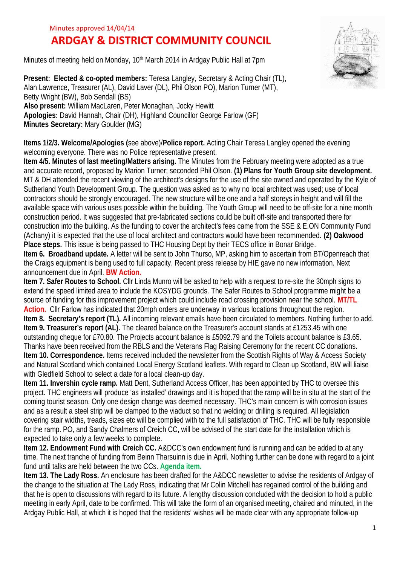## Minutes approved 14/04/14

## **ARDGAY & DISTRICT COMMUNITY COUNCIL**

Minutes of meeting held on Monday, 10th March 2014 in Ardgay Public Hall at 7pm

**Present: Elected & co-opted members:** Teresa Langley, Secretary & Acting Chair (TL), Alan Lawrence, Treasurer (AL), David Laver (DL), Phil Olson PO), Marion Turner (MT), Betty Wright (BW), Bob Sendall (BS) **Also present:** William MacLaren, Peter Monaghan, Jocky Hewitt **Apologies:** David Hannah, Chair (DH), Highland Councillor George Farlow (GF) **Minutes Secretary:** Mary Goulder (MG)

**Items 1/2/3. Welcome/Apologies (**see above)/**Police report.** Acting Chair Teresa Langley opened the evening welcoming everyone. There was no Police representative present.

**Item 4/5. Minutes of last meeting/Matters arising.** The Minutes from the February meeting were adopted as a true and accurate record, proposed by Marion Turner; seconded Phil Olson. **(1) Plans for Youth Group site development.** MT & DH attended the recent viewing of the architect's designs for the use of the site owned and operated by the Kyle of Sutherland Youth Development Group. The question was asked as to why no local architect was used; use of local contractors should be strongly encouraged. The new structure will be one and a half storeys in height and will fill the available space with various uses possible within the building. The Youth Group will need to be off-site for a nine month construction period. It was suggested that pre-fabricated sections could be built off-site and transported there for construction into the building. As the funding to cover the architect's fees came from the SSE & E.ON Community Fund (Achany) it is expected that the use of local architect and contractors would have been recommended. **(2) Oakwood Place steps.** This issue is being passed to THC Housing Dept by their TECS office in Bonar Bridge. **Item 6. Broadband update.** A letter will be sent to John Thurso, MP, asking him to ascertain from BT/Openreach that

the Craigs equipment is being used to full capacity. Recent press release by HIE gave no new information. Next announcement due in April. **BW Action.**

**Item 7. Safer Routes to School.** Cllr Linda Munro will be asked to help with a request to re-site the 30mph signs to extend the speed limited area to include the KOSYDG grounds. The Safer Routes to School programme might be a source of funding for this improvement project which could include road crossing provision near the school. **MT/TL Action.** Cllr Farlow has indicated that 20mph orders are underway in various locations throughout the region. **Item 8. Secretary's report (TL).** All incoming relevant emails have been circulated to members. Nothing further to add. **Item 9. Treasurer's report (AL).** The cleared balance on the Treasurer's account stands at £1253.45 with one outstanding cheque for £70.80. The Projects account balance is £5092.79 and the Toilets account balance is £3.65. Thanks have been received from the RBLS and the Veterans Flag Raising Ceremony for the recent CC donations. **Item 10. Correspondence.** Items received included the newsletter from the Scottish Rights of Way & Access Society and Natural Scotland which contained Local Energy Scotland leaflets. With regard to Clean up Scotland, BW will liaise with Gledfield School to select a date for a local clean-up day.

**Item 11. Invershin cycle ramp.** Matt Dent, Sutherland Access Officer, has been appointed by THC to oversee this project. THC engineers will produce 'as installed' drawings and it is hoped that the ramp will be in situ at the start of the coming tourist season. Only one design change was deemed necessary. THC's main concern is with corrosion issues and as a result a steel strip will be clamped to the viaduct so that no welding or drilling is required. All legislation covering stair widths, treads, sizes etc will be complied with to the full satisfaction of THC. THC will be fully responsible for the ramp. PO, and Sandy Chalmers of Creich CC, will be advised of the start date for the installation which is expected to take only a few weeks to complete.

**Item 12. Endowment Fund with Creich CC.** A&DCC's own endowment fund is running and can be added to at any time. The next tranche of funding from Beinn Tharsuinn is due in April. Nothing further can be done with regard to a joint fund until talks are held between the two CCs. **Agenda item.**

**Item 13. The Lady Ross.** An enclosure has been drafted for the A&DCC newsletter to advise the residents of Ardgay of the change to the situation at The Lady Ross, indicating that Mr Colin Mitchell has regained control of the building and that he is open to discussions with regard to its future. A lengthy discussion concluded with the decision to hold a public meeting in early April, date to be confirmed. This will take the form of an organised meeting, chaired and minuted, in the Ardgay Public Hall, at which it is hoped that the residents' wishes will be made clear with any appropriate follow-up